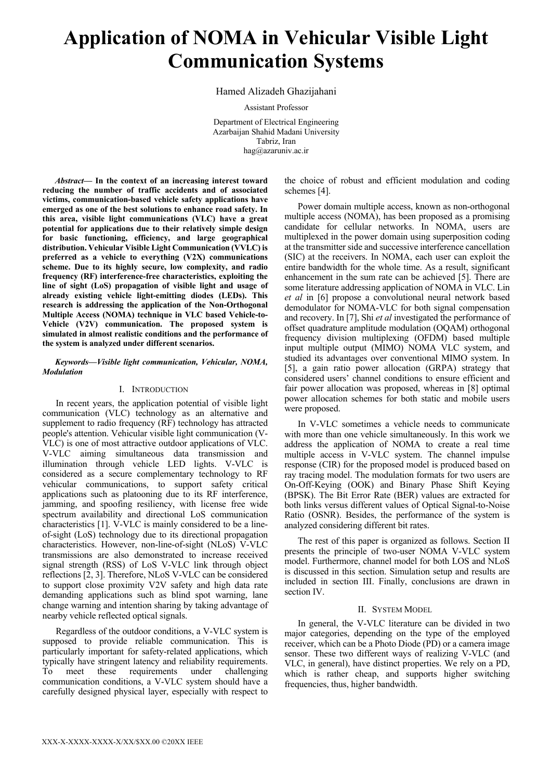# **Application of NOMA in Vehicular Visible Light Communication Systems**

## Hamed Alizadeh Ghazijahani

Assistant Professor

Department of Electrical Engineering Azarbaijan Shahid Madani University Tabriz, Iran hag@azaruniv.ac.ir

*Abstract***— In the context of an increasing interest toward reducing the number of traffic accidents and of associated victims, communication-based vehicle safety applications have emerged as one of the best solutions to enhance road safety. In this area, visible light communications (VLC) have a great potential for applications due to their relatively simple design for basic functioning, efficiency, and large geographical distribution. Vehicular Visible Light Communication (VVLC) is preferred as a vehicle to everything (V2X) communications scheme. Due to its highly secure, low complexity, and radio frequency (RF) interference-free characteristics, exploiting the line of sight (LoS) propagation of visible light and usage of already existing vehicle light-emitting diodes (LEDs). This research is addressing the application of the Non-Orthogonal Multiple Access (NOMA) technique in VLC based Vehicle-to-Vehicle (V2V) communication. The proposed system is simulated in almost realistic conditions and the performance of the system is analyzed under different scenarios.**

### *Keywords—Visible light communication, Vehicular, NOMA, Modulation*

### I. INTRODUCTION

In recent years, the application potential of visible light communication (VLC) technology as an alternative and supplement to radio frequency (RF) technology has attracted people's attention. Vehicular visible light communication (V-VLC) is one of most attractive outdoor applications of VLC. V-VLC aiming simultaneous data transmission and illumination through vehicle LED lights. V-VLC is considered as a secure complementary technology to RF vehicular communications, to support safety critical applications such as platooning due to its RF interference, jamming, and spoofing resiliency, with license free wide spectrum availability and directional LoS communication characteristics [1]. V-VLC is mainly considered to be a lineof-sight (LoS) technology due to its directional propagation characteristics. However, non-line-of-sight (NLoS) V-VLC transmissions are also demonstrated to increase received signal strength (RSS) of LoS V-VLC link through object reflections [2, 3]. Therefore, NLoS V-VLC can be considered to support close proximity V2V safety and high data rate demanding applications such as blind spot warning, lane change warning and intention sharing by taking advantage of nearby vehicle reflected optical signals.

Regardless of the outdoor conditions, a V-VLC system is supposed to provide reliable communication. This is particularly important for safety-related applications, which typically have stringent latency and reliability requirements. To meet these requirements under challenging communication conditions, a V-VLC system should have a carefully designed physical layer, especially with respect to

the choice of robust and efficient modulation and coding schemes [4].

Power domain multiple access, known as non-orthogonal multiple access (NOMA), has been proposed as a promising candidate for cellular networks. In NOMA, users are multiplexed in the power domain using superposition coding at the transmitter side and successive interference cancellation (SIC) at the receivers. In NOMA, each user can exploit the entire bandwidth for the whole time. As a result, significant enhancement in the sum rate can be achieved [5]. There are some literature addressing application of NOMA in VLC. Lin *et al* in [6] propose a convolutional neural network based demodulator for NOMA-VLC for both signal compensation and recovery. In [7], Shi *et al* investigated the performance of offset quadrature amplitude modulation (OQAM) orthogonal frequency division multiplexing (OFDM) based multiple input multiple output (MIMO) NOMA VLC system, and studied its advantages over conventional MIMO system. In [5], a gain ratio power allocation (GRPA) strategy that considered users' channel conditions to ensure efficient and fair power allocation was proposed, whereas in [8] optimal power allocation schemes for both static and mobile users were proposed.

In V-VLC sometimes a vehicle needs to communicate with more than one vehicle simultaneously. In this work we address the application of NOMA to create a real time multiple access in V-VLC system. The channel impulse response (CIR) for the proposed model is produced based on ray tracing model. The modulation formats for two users are On-Off-Keying (OOK) and Binary Phase Shift Keying (BPSK). The Bit Error Rate (BER) values are extracted for both links versus different values of Optical Signal-to-Noise Ratio (OSNR). Besides, the performance of the system is analyzed considering different bit rates.

The rest of this paper is organized as follows. Section II presents the principle of two-user NOMA V-VLC system model. Furthermore, channel model for both LOS and NLoS is discussed in this section. Simulation setup and results are included in section III. Finally, conclusions are drawn in section IV.

#### II. SYSTEM MODEL

In general, the V-VLC literature can be divided in two major categories, depending on the type of the employed receiver, which can be a Photo Diode (PD) or a camera image sensor. These two different ways of realizing V-VLC (and VLC, in general), have distinct properties. We rely on a PD, which is rather cheap, and supports higher switching frequencies, thus, higher bandwidth.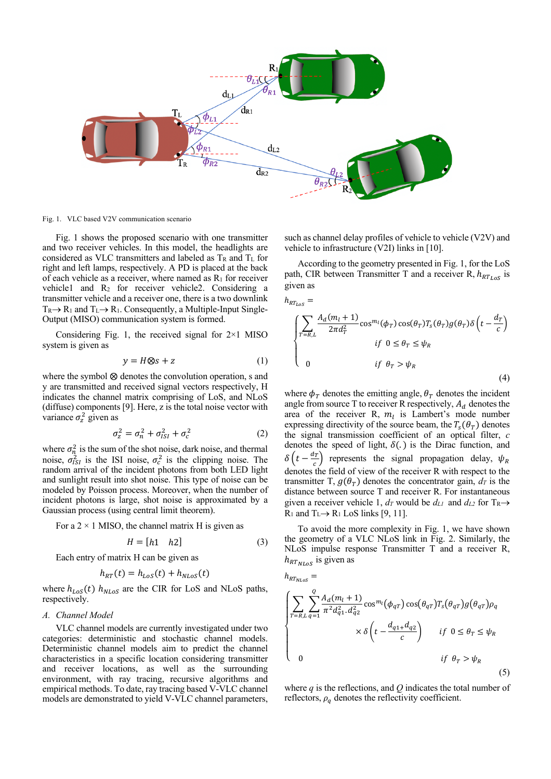

Fig. 1. VLC based V2V communication scenario

Fig. 1 shows the proposed scenario with one transmitter and two receiver vehicles. In this model, the headlights are considered as VLC transmitters and labeled as  $T_R$  and  $T_L$  for right and left lamps, respectively. A PD is placed at the back of each vehicle as a receiver, where named as  $R_1$  for receiver vehicle1 and R2 for receiver vehicle2. Considering a transmitter vehicle and a receiver one, there is a two downlink  $T_{R} \rightarrow R_1$  and  $T_L \rightarrow R_1$ . Consequently, a Multiple-Input Single-Output (MISO) communication system is formed.

Considering Fig. 1, the received signal for  $2\times1$  MISO system is given as

$$
y = H \otimes s + z \tag{1}
$$

where the symbol  $\otimes$  denotes the convolution operation, s and y are transmitted and received signal vectors respectively, H indicates the channel matrix comprising of LoS, and NLoS (diffuse) components [9]. Here, z is the total noise vector with variance  $\sigma_z^2$  given as

$$
\sigma_z^2 = \sigma_n^2 + \sigma_{ISI}^2 + \sigma_c^2 \tag{2}
$$

where  $\sigma_n^2$  is the sum of the shot noise, dark noise, and thermal noise,  $\sigma_{ISI}^2$  is the ISI noise,  $\sigma_c^2$  is the clipping noise. The random arrival of the incident photons from both LED light and sunlight result into shot noise. This type of noise can be modeled by Poisson process. Moreover, when the number of incident photons is large, shot noise is approximated by a Gaussian process (using central limit theorem).

For a  $2 \times 1$  MISO, the channel matrix H is given as

$$
H = [h1 \quad h2] \tag{3}
$$

Each entry of matrix H can be given as

$$
h_{RT}(t) = h_{LoS}(t) + h_{NLoS}(t)
$$

where  $h_{LoS}(t)$   $h_{NLoS}$  are the CIR for LoS and NLoS paths, respectively.

#### *A. Channel Model*

VLC channel models are currently investigated under two categories: deterministic and stochastic channel models. Deterministic channel models aim to predict the channel characteristics in a specific location considering transmitter and receiver locations, as well as the surrounding environment, with ray tracing, recursive algorithms and empirical methods. To date, ray tracing based V-VLC channel models are demonstrated to yield V-VLC channel parameters,

such as channel delay profiles of vehicle to vehicle (V2V) and vehicle to infrastructure (V2I) links in [10].

According to the geometry presented in Fig. 1, for the LoS path, CIR between Transmitter T and a receiver R,  $h_{RT_{LoS}}$  is given as

$$
h_{RT_{LoS}} = \sqrt{\sum_{T=R,L} \frac{A_d(m_l+1)}{2\pi d_T^2} \cos^{m_l}(\phi_T) \cos(\theta_T) T_s(\theta_T) g(\theta_T) \delta \left(t - \frac{d_T}{c}\right)}
$$
  
\nif  $0 \le \theta_T \le \psi_R$   
\nif  $\theta_T > \psi_R$  (4)

where  $\phi_T$  denotes the emitting angle,  $\theta_T$  denotes the incident angle from source T to receiver R respectively,  $A_d$  denotes the area of the receiver R,  $m_l$  is Lambert's mode number expressing directivity of the source beam, the  $T_s(\theta_T)$  denotes the signal transmission coefficient of an optical filter, *c* denotes the speed of light,  $\delta(.)$  is the Dirac function, and  $\delta\left(t - \frac{d\tau}{c}\right)$  represents the signal propagation delay,  $\psi_R$ denotes the field of view of the receiver R with respect to the transmitter T,  $q(\theta_T)$  denotes the concentrator gain,  $d_T$  is the distance between source T and receiver R. For instantaneous given a receiver vehicle 1,  $d_T$  would be  $d_{L1}$  and  $d_{L2}$  for  $T_R \rightarrow$  $R_1$  and  $T_L \rightarrow R_1$  LoS links [9, 11].

To avoid the more complexity in Fig. 1, we have shown the geometry of a VLC NLoS link in Fig. 2. Similarly, the NLoS impulse response Transmitter T and a receiver R,  $h_{RT_{NLoS}}$  is given as

$$
h_{RT_{NLoS}} = \left\{ \sum_{T=R,L} \sum_{q=1}^{Q} \frac{A_d(m_l+1)}{\pi^2 d_{q1}^2 \cdot d_{q2}^2} \cos^{m_l}(\phi_{qT}) \cos(\theta_{qT}) T_s(\theta_{qT}) g(\theta_{qT}) \rho_q \right. \\ \left. \times \delta \left( t - \frac{d_{q1} + d_{q2}}{c} \right) \right\} \quad \text{if } 0 \le \theta_T \le \psi_R
$$
\n
$$
0 \quad \text{if } \theta_T > \psi_R
$$
\n(5)

where *q* is the reflections, and *Q* indicates the total number of reflectors,  $\rho_q$  denotes the reflectivity coefficient.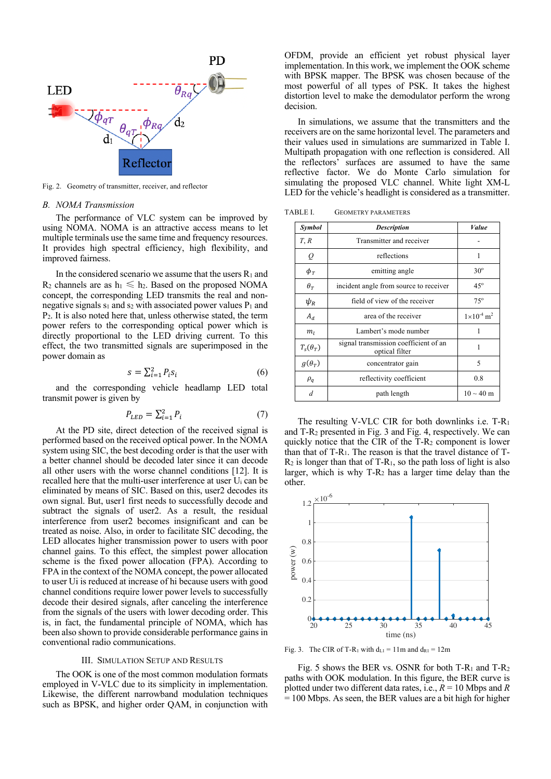

Fig. 2. Geometry of transmitter, receiver, and reflector

#### *B. NOMA Transmission*

The performance of VLC system can be improved by using NOMA. NOMA is an attractive access means to let multiple terminals use the same time and frequency resources. It provides high spectral efficiency, high flexibility, and improved fairness.

In the considered scenario we assume that the users  $R_1$  and  $R_2$  channels are as  $h_1 \leq h_2$ . Based on the proposed NOMA concept, the corresponding LED transmits the real and nonnegative signals  $s_1$  and  $s_2$  with associated power values  $P_1$  and P2. It is also noted here that, unless otherwise stated, the term power refers to the corresponding optical power which is directly proportional to the LED driving current. To this effect, the two transmitted signals are superimposed in the power domain as

$$
s = \sum_{i=1}^{2} P_i s_i \tag{6}
$$

and the corresponding vehicle headlamp LED total transmit power is given by

$$
P_{LED} = \sum_{i=1}^{2} P_i \tag{7}
$$

At the PD site, direct detection of the received signal is performed based on the received optical power. In the NOMA system using SIC, the best decoding order is that the user with a better channel should be decoded later since it can decode all other users with the worse channel conditions [12]. It is recalled here that the multi-user interference at user Ui can be eliminated by means of SIC. Based on this, user2 decodes its own signal. But, user1 first needs to successfully decode and subtract the signals of user2. As a result, the residual interference from user2 becomes insignificant and can be treated as noise. Also, in order to facilitate SIC decoding, the LED allocates higher transmission power to users with poor channel gains. To this effect, the simplest power allocation scheme is the fixed power allocation (FPA). According to FPA in the context of the NOMA concept, the power allocated to user Ui is reduced at increase of hi because users with good channel conditions require lower power levels to successfully decode their desired signals, after canceling the interference from the signals of the users with lower decoding order. This is, in fact, the fundamental principle of NOMA, which has been also shown to provide considerable performance gains in conventional radio communications.

#### III. SIMULATION SETUP AND RESULTS

The OOK is one of the most common modulation formats employed in V-VLC due to its simplicity in implementation. Likewise, the different narrowband modulation techniques such as BPSK, and higher order QAM, in conjunction with OFDM, provide an efficient yet robust physical layer implementation. In this work, we implement the OOK scheme with BPSK mapper. The BPSK was chosen because of the most powerful of all types of PSK. It takes the highest distortion level to make the demodulator perform the wrong decision.

In simulations, we assume that the transmitters and the receivers are on the same horizontal level. The parameters and their values used in simulations are summarized in Table I. Multipath propagation with one reflection is considered. All the reflectors' surfaces are assumed to have the same reflective factor. We do Monte Carlo simulation for simulating the proposed VLC channel. White light XM-L LED for the vehicle's headlight is considered as a transmitter.

TABLE I. GEOMETRY PARAMETERS

| Symbol          | <b>Description</b>                                      | <i>Value</i>                    |
|-----------------|---------------------------------------------------------|---------------------------------|
| T, R            | Transmitter and receiver                                |                                 |
| $\varrho$       | reflections                                             | 1                               |
| $\phi_T$        | emitting angle                                          | $30^\circ$                      |
| $\theta_T$      | incident angle from source to receiver                  | $45^\circ$                      |
| $\psi_{R}$      | field of view of the receiver                           | $75^\circ$                      |
| $A_d$           | area of the receiver                                    | $1\times10^{-4}$ m <sup>2</sup> |
| m <sub>l</sub>  | Lambert's mode number                                   | 1                               |
| $T_s(\theta_T)$ | signal transmission coefficient of an<br>optical filter | 1                               |
| $g(\theta_T)$   | concentrator gain                                       | 5                               |
| $\rho_q$        | reflectivity coefficient                                | 0.8                             |
| d               | path length                                             | $10 \sim 40 \text{ m}$          |

The resulting V-VLC CIR for both downlinks i.e. T-R1 and T-R2 presented in Fig. 3 and Fig. 4, respectively. We can quickly notice that the CIR of the T-R2 component is lower than that of  $T-R_1$ . The reason is that the travel distance of  $T \mathbb{R}_2$  is longer than that of T-R<sub>1</sub>, so the path loss of light is also larger, which is why T-R2 has a larger time delay than the other.



Fig. 3. The CIR of T-R<sub>1</sub> with  $d_{L1} = 11m$  and  $d_{R1} = 12m$ 

Fig. 5 shows the BER vs. OSNR for both  $T-R_1$  and  $T-R_2$ paths with OOK modulation. In this figure, the BER curve is plotted under two different data rates, i.e., *R* = 10 Mbps and *R*  $= 100$  Mbps. As seen, the BER values are a bit high for higher